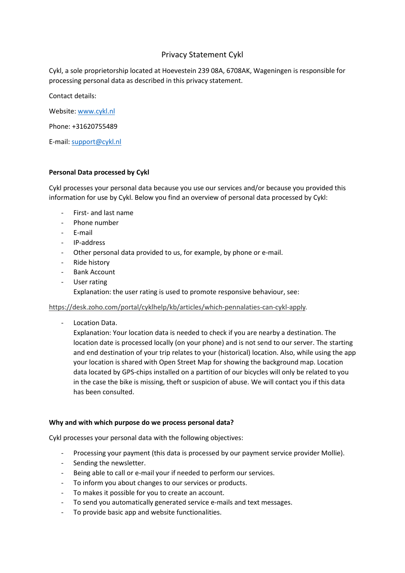# Privacy Statement Cykl

Cykl, a sole proprietorship located at Hoevestein 239 08A, 6708AK, Wageningen is responsible for processing personal data as described in this privacy statement.

Contact details:

Website[: www.cykl.nl](http://www.cykl.nl/)

Phone: +31620755489

E-mail: [support@cykl.nl](mailto:support@cykl.nl)

# **Personal Data processed by Cykl**

Cykl processes your personal data because you use our services and/or because you provided this information for use by Cykl. Below you find an overview of personal data processed by Cykl:

- First- and last name
- Phone number
- E-mail
- IP-address
- Other personal data provided to us, for example, by phone or e-mail.
- Ride history
- Bank Account
- User rating Explanation: the user rating is used to promote responsive behaviour, see:

## [https://desk.zoho.com/portal/cyklhelp/kb/articles/which-pennalaties-can-cykl-apply.](https://desk.zoho.com/portal/cyklhelp/kb/articles/which-pennalaties-can-cykl-apply)

Location Data.

Explanation: Your location data is needed to check if you are nearby a destination. The location date is processed locally (on your phone) and is not send to our server. The starting and end destination of your trip relates to your (historical) location. Also, while using the app your location is shared with Open Street Map for showing the background map. Location data located by GPS-chips installed on a partition of our bicycles will only be related to you in the case the bike is missing, theft or suspicion of abuse. We will contact you if this data has been consulted.

## **Why and with which purpose do we process personal data?**

Cykl processes your personal data with the following objectives:

- Processing your payment (this data is processed by our payment service provider Mollie).
- Sending the newsletter.
- Being able to call or e-mail your if needed to perform our services.
- To inform you about changes to our services or products.
- To makes it possible for you to create an account.
- To send you automatically generated service e-mails and text messages.
- To provide basic app and website functionalities.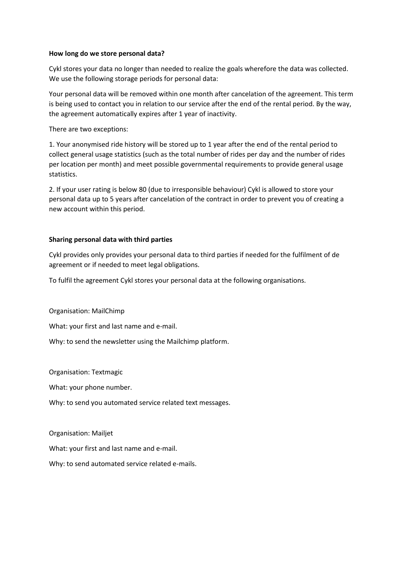#### **How long do we store personal data?**

Cykl stores your data no longer than needed to realize the goals wherefore the data was collected. We use the following storage periods for personal data:

Your personal data will be removed within one month after cancelation of the agreement. This term is being used to contact you in relation to our service after the end of the rental period. By the way, the agreement automatically expires after 1 year of inactivity.

There are two exceptions:

1. Your anonymised ride history will be stored up to 1 year after the end of the rental period to collect general usage statistics (such as the total number of rides per day and the number of rides per location per month) and meet possible governmental requirements to provide general usage statistics.

2. If your user rating is below 80 (due to irresponsible behaviour) Cykl is allowed to store your personal data up to 5 years after cancelation of the contract in order to prevent you of creating a new account within this period.

## **Sharing personal data with third parties**

Cykl provides only provides your personal data to third parties if needed for the fulfilment of de agreement or if needed to meet legal obligations.

To fulfil the agreement Cykl stores your personal data at the following organisations.

Organisation: MailChimp

What: your first and last name and e-mail.

Why: to send the newsletter using the Mailchimp platform.

Organisation: Textmagic

What: your phone number.

Why: to send you automated service related text messages.

Organisation: Mailjet

What: your first and last name and e-mail.

Why: to send automated service related e-mails.